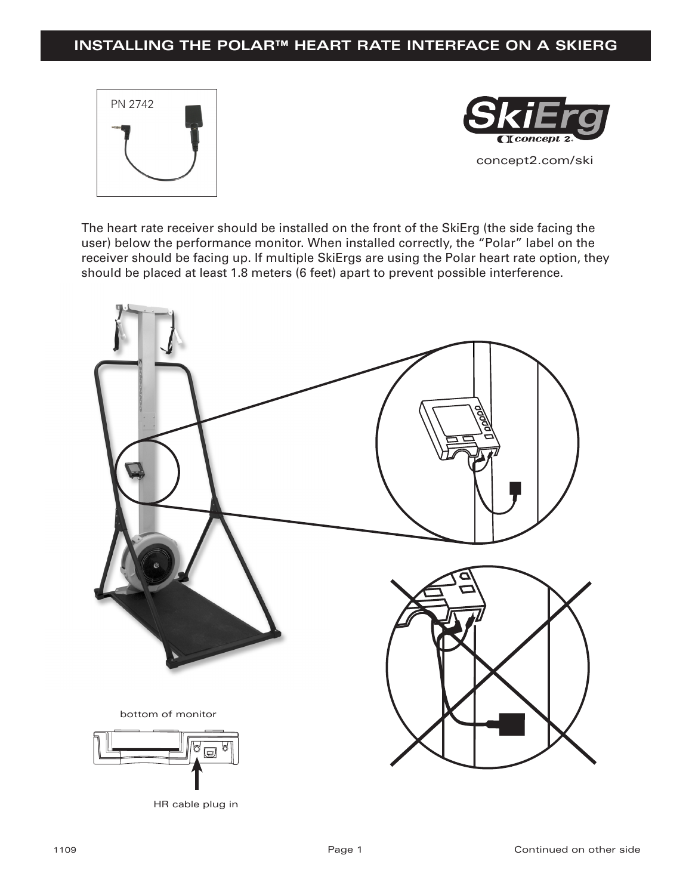# **INSTALLING THE POLAR™ HEART RATE INTERFACE ON A SKIERG**





The heart rate receiver should be installed on the front of the SkiErg (the side facing the user) below the performance monitor. When installed correctly, the "Polar" label on the receiver should be facing up. If multiple SkiErgs are using the Polar heart rate option, they should be placed at least 1.8 meters (6 feet) apart to prevent possible interference.